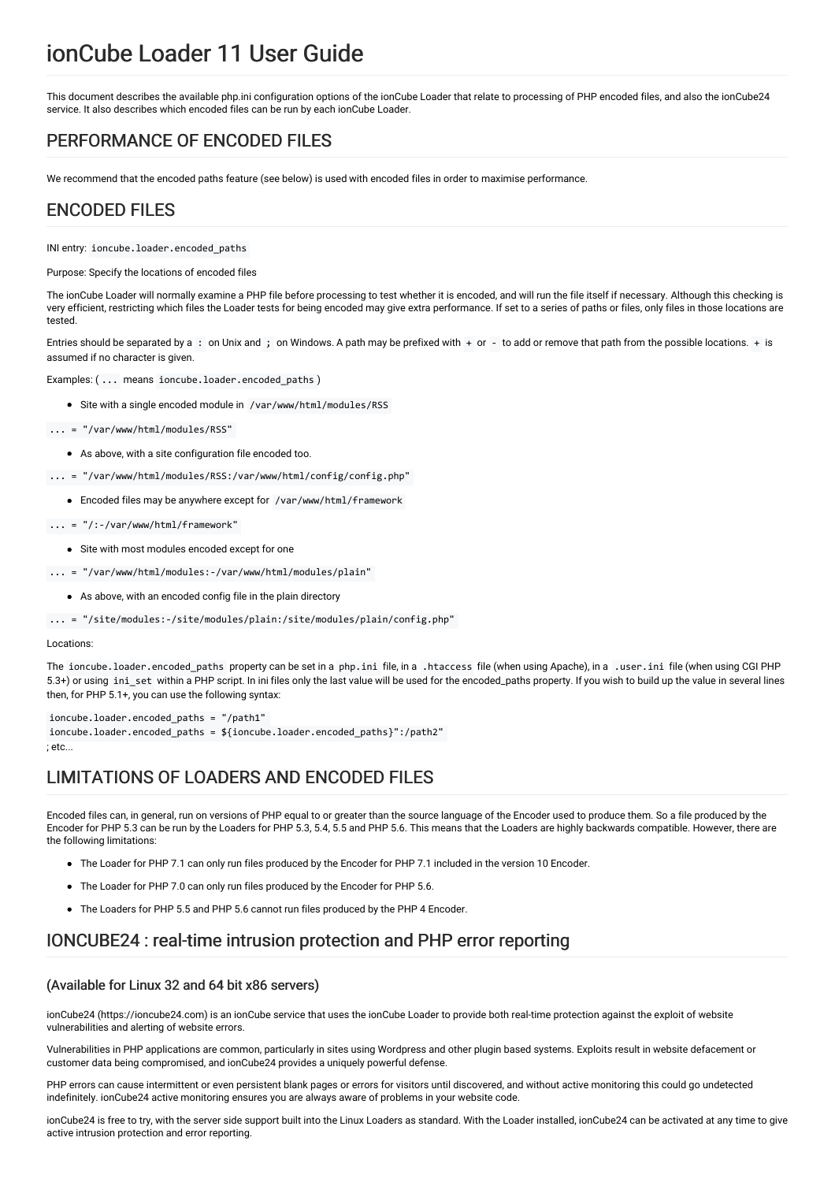# ionCube Loader 11 User Guide

This document describes the available php.ini configuration options of the ionCube Loader that relate to processing of PHP encoded files, and also the ionCube24 service. It also describes which encoded files can be run by each ionCube Loader.

## PERFORMANCE OF ENCODED FILES

We recommend that the encoded paths feature (see below) is used with encoded files in order to maximise performance.

### ENCODED FILES

INI entry: ioncube.loader.encoded\_paths

Purpose: Specify the locations of encoded files

The ionCube Loader will normally examine a PHP file before processing to test whether it is encoded, and will run the file itself if necessary. Although this checking is very efficient, restricting which files the Loader tests for being encoded may give extra performance. If set to a series of paths or files, only files in those locations are tested.

Entries should be separated by a: on Unix and; on Windows. A path may be prefixed with + or - to add or remove that path from the possible locations. + is assumed if no character is given.

Examples: ( ... means ioncube.loader.encoded\_paths )

• Site with a single encoded module in /var/www/html/modules/RSS

... = "/var/www/html/modules/RSS"

- As above, with a site configuration file encoded too.
- ... = "/var/www/html/modules/RSS:/var/www/html/config/config.php"
	- Encoded files may be anywhere except for /var/www/html/framework
- ... = "/:-/var/www/html/framework"
	- Site with most modules encoded except for one
- ... = "/var/www/html/modules:-/var/www/html/modules/plain"
	- As above, with an encoded config file in the plain directory

... = "/site/modules:-/site/modules/plain:/site/modules/plain/config.php"

#### Locations:

The ioncube.loader.encoded\_paths property can be set in a php.ini file, in a .htaccess file (when using Apache), in a .user.ini file (when using CGI PHP 5.3+) or using ini set within a PHP script. In ini files only the last value will be used for the encoded\_paths property. If you wish to build up the value in several lines then, for PHP 5.1+, you can use the following syntax:

ioncube.loader.encoded\_paths = "/path1" ioncube.loader.encoded\_paths = \${ioncube.loader.encoded\_paths}":/path2"  $,$  etc.

### LIMITATIONS OF LOADERS AND ENCODED FILES

Encoded files can, in general, run on versions of PHP equal to or greater than the source language of the Encoder used to produce them. So a file produced by the Encoder for PHP 5.3 can be run by the Loaders for PHP 5.3, 5.4, 5.5 and PHP 5.6. This means that the Loaders are highly backwards compatible. However, there are the following limitations:

- The Loader for PHP 7.1 can only run files produced by the Encoder for PHP 7.1 included in the version 10 Encoder.
- The Loader for PHP 7.0 can only run files produced by the Encoder for PHP 5.6.
- The Loaders for PHP 5.5 and PHP 5.6 cannot run files produced by the PHP 4 Encoder.

### IONCUBE24 : real-time intrusion protection and PHP error reporting

#### (Available for Linux 32 and 64 bit x86 servers)

ionCube24 (https://ioncube24.com) is an ionCube service that uses the ionCube Loader to provide both real-time protection against the exploit of website vulnerabilities and alerting of website errors.

Vulnerabilities in PHP applications are common, particularly in sites using Wordpress and other plugin based systems. Exploits result in website defacement or customer data being compromised, and ionCube24 provides a uniquely powerful defense.

PHP errors can cause intermittent or even persistent blank pages or errors for visitors until discovered, and without active monitoring this could go undetected indefinitely. ionCube24 active monitoring ensures you are always aware of problems in your website code.

ionCube24 is free to try, with the server side support built into the Linux Loaders as standard. With the Loader installed, ionCube24 can be activated at any time to give active intrusion protection and error reporting.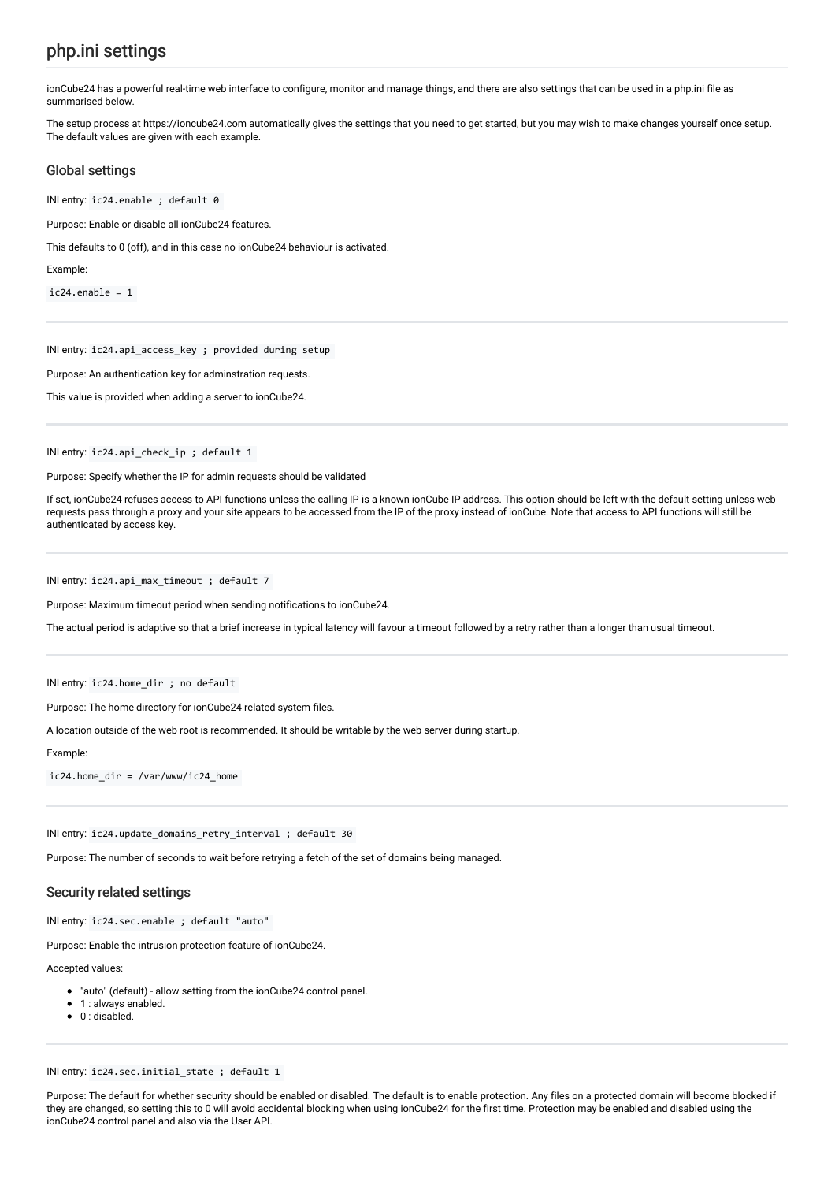### php.ini settings

ionCube24 has a powerful real-time web interface to configure, monitor and manage things, and there are also settings that can be used in a php.ini file as summarised below.

The setup process at https://ioncube24.com automatically gives the settings that you need to get started, but you may wish to make changes yourself once setup. The default values are given with each example.

#### Global settings

INI entry: ic24.enable ; default 0

Purpose: Enable or disable all ionCube24 features.

This defaults to 0 (off), and in this case no ionCube24 behaviour is activated.

Example:

 $ic24.$ enable = 1

INI entry: ic24.api\_access\_key ; provided during setup

Purpose: An authentication key for adminstration requests.

This value is provided when adding a server to ionCube24.

INI entry: ic24.api\_check\_ip ; default 1

Purpose: Specify whether the IP for admin requests should be validated

If set, ionCube24 refuses access to API functions unless the calling IP is a known ionCube IP address. This option should be left with the default setting unless web requests pass through a proxy and your site appears to be accessed from the IP of the proxy instead of ionCube. Note that access to API functions will still be authenticated by access key.

INI entry: ic24.api\_max\_timeout ; default 7

Purpose: Maximum timeout period when sending notifications to ionCube24.

The actual period is adaptive so that a brief increase in typical latency will favour a timeout followed by a retry rather than a longer than usual timeout.

INI entry: ic24.home\_dir ; no default

Purpose: The home directory for ionCube24 related system files.

A location outside of the web root is recommended. It should be writable by the web server during startup.

Example:

ic24.home\_dir = /var/www/ic24\_home

INI entry: ic24.update\_domains\_retry\_interval ; default 30

Purpose: The number of seconds to wait before retrying a fetch of the set of domains being managed.

#### Security related settings

INI entry: ic24.sec.enable ; default "auto"

Purpose: Enable the intrusion protection feature of ionCube24.

Accepted values:

- "auto" (default) allow setting from the ionCube24 control panel.
- 1 : always enabled.
- 0 : disabled.  $\bullet$

INI entry: ic24.sec.initial\_state ; default 1

Purpose: The default for whether security should be enabled or disabled. The default is to enable protection. Any files on a protected domain will become blocked if they are changed, so setting this to 0 will avoid accidental blocking when using ionCube24 for the first time. Protection may be enabled and disabled using the ionCube24 control panel and also via the User API.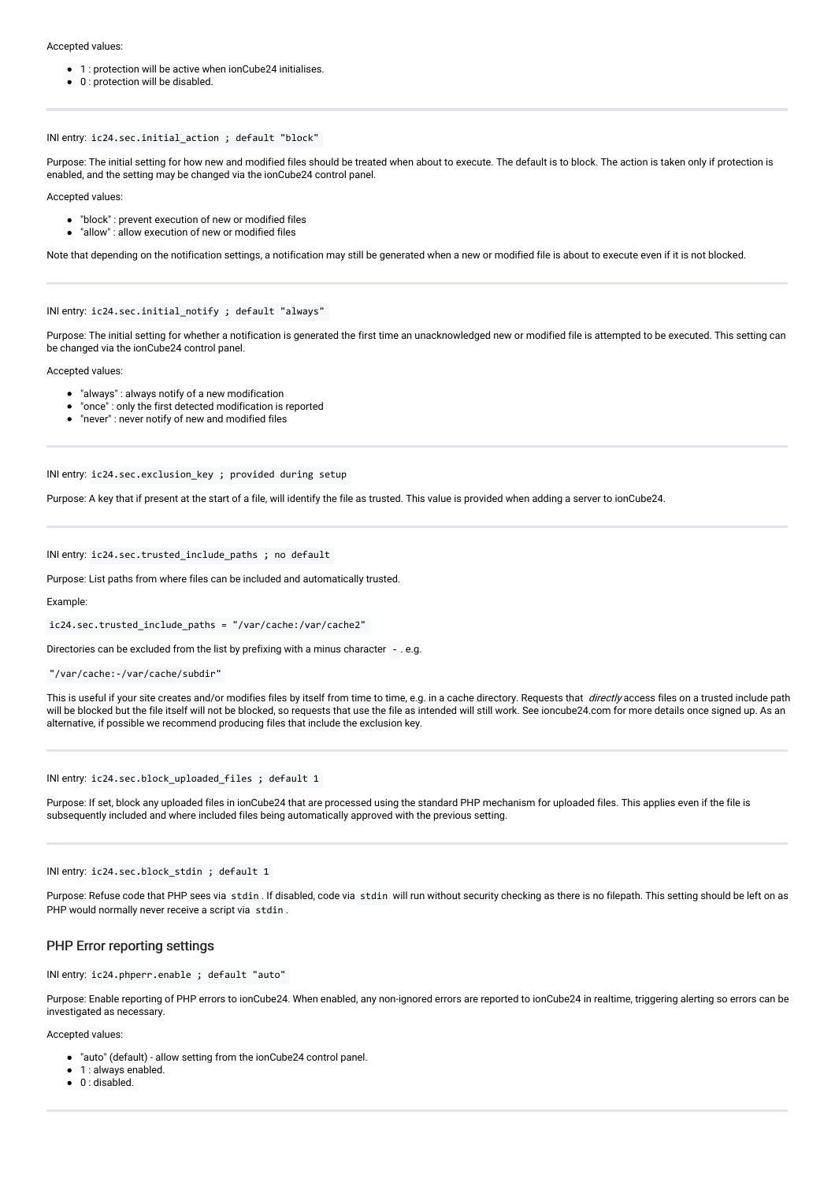Accepted values:

- 1 : protection will be active when ionCube24 initialises.
- 0 : protection will be disabled.

INI entry: ic24.sec.initial\_action ; default "block"

Purpose: The initial setting for how new and modified files should be treated when about to execute. The default is to block. The action is taken only if protection is enabled, and the setting may be changed via the ionCube24 control panel.

Accepted values:

- "block" : prevent execution of new or modified files
- "allow": allow execution of new or modified files

Note that depending on the notification settings, a notification may still be generated when a new or modified file is about to execute even if it is not blocked.

INI entry: ic24.sec.initial\_notify ; default "always"

Purpose: The initial setting for whether a notification is generated the first time an unacknowledged new or modified file is attempted to be executed. This setting can be changed via the ionCube24 control panel.

Accepted values:

- "always" : always notify of a new modification
- "once" : only the first detected modification is reported
- "never" : never notify of new and modified files

INI entry: ic24.sec.exclusion key ; provided during setup

Purpose: A key that if present at the start of a file, will identify the file as trusted. This value is provided when adding a server to ionCube24.

INI entry: ic24.sec.trusted\_include\_paths ; no default

Purpose: List paths from where files can be included and automatically trusted.

Example:

ic24.sec.trusted\_include\_paths = "/var/cache:/var/cache2"

Directories can be excluded from the list by prefixing with a minus character - . e.g.

```
"/var/cache:-/var/cache/subdir"
```
This is useful if your site creates and/or modifies files by itself from time to time, e.g. in a cache directory. Requests that *directly* access files on a trusted include path will be blocked but the file itself will not be blocked, so requests that use the file as intended will still work. See ioncube24.com for more details once signed up. As an alternative, if possible we recommend producing files that include the exclusion key.

INI entry: ic24.sec.block\_uploaded\_files ; default 1

Purpose: If set, block any uploaded files in ionCube24 that are processed using the standard PHP mechanism for uploaded files. This applies even if the file is subsequently included and where included files being automatically approved with the previous setting.

INI entry: ic24.sec.block\_stdin ; default 1

Purpose: Refuse code that PHP sees via stdin . If disabled, code via stdin will run without security checking as there is no filepath. This setting should be left on as PHP would normally never receive a script via stdin.

#### PHP Error reporting settings

INI entry: ic24.phperr.enable ; default "auto"

Purpose: Enable reporting of PHP errors to ionCube24. When enabled, any non-ignored errors are reported to ionCube24 in realtime, triggering alerting so errors can be investigated as necessary.

Accepted values:

"auto" (default) - allow setting from the ionCube24 control panel.

1 : always enabled.  $\bullet$ 

 $\bullet$  0 : disabled.